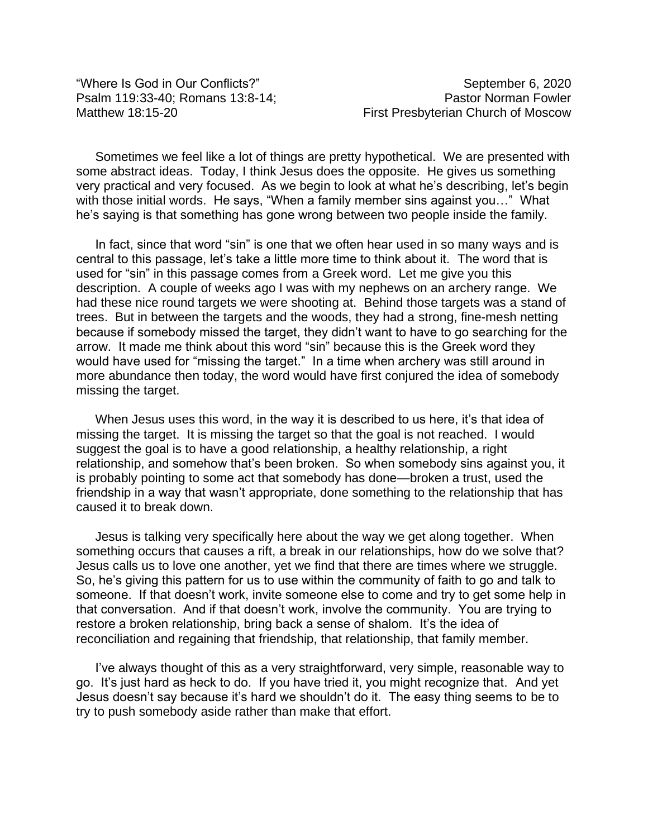"Where Is God in Our Conflicts?" September 6, 2020

Sometimes we feel like a lot of things are pretty hypothetical. We are presented with some abstract ideas. Today, I think Jesus does the opposite. He gives us something very practical and very focused. As we begin to look at what he's describing, let's begin with those initial words. He says, "When a family member sins against you..." What he's saying is that something has gone wrong between two people inside the family.

In fact, since that word "sin" is one that we often hear used in so many ways and is central to this passage, let's take a little more time to think about it. The word that is used for "sin" in this passage comes from a Greek word. Let me give you this description. A couple of weeks ago I was with my nephews on an archery range. We had these nice round targets we were shooting at. Behind those targets was a stand of trees. But in between the targets and the woods, they had a strong, fine-mesh netting because if somebody missed the target, they didn't want to have to go searching for the arrow. It made me think about this word "sin" because this is the Greek word they would have used for "missing the target." In a time when archery was still around in more abundance then today, the word would have first conjured the idea of somebody missing the target.

When Jesus uses this word, in the way it is described to us here, it's that idea of missing the target. It is missing the target so that the goal is not reached. I would suggest the goal is to have a good relationship, a healthy relationship, a right relationship, and somehow that's been broken. So when somebody sins against you, it is probably pointing to some act that somebody has done—broken a trust, used the friendship in a way that wasn't appropriate, done something to the relationship that has caused it to break down.

Jesus is talking very specifically here about the way we get along together. When something occurs that causes a rift, a break in our relationships, how do we solve that? Jesus calls us to love one another, yet we find that there are times where we struggle. So, he's giving this pattern for us to use within the community of faith to go and talk to someone. If that doesn't work, invite someone else to come and try to get some help in that conversation. And if that doesn't work, involve the community. You are trying to restore a broken relationship, bring back a sense of shalom. It's the idea of reconciliation and regaining that friendship, that relationship, that family member.

I've always thought of this as a very straightforward, very simple, reasonable way to go. It's just hard as heck to do. If you have tried it, you might recognize that. And yet Jesus doesn't say because it's hard we shouldn't do it. The easy thing seems to be to try to push somebody aside rather than make that effort.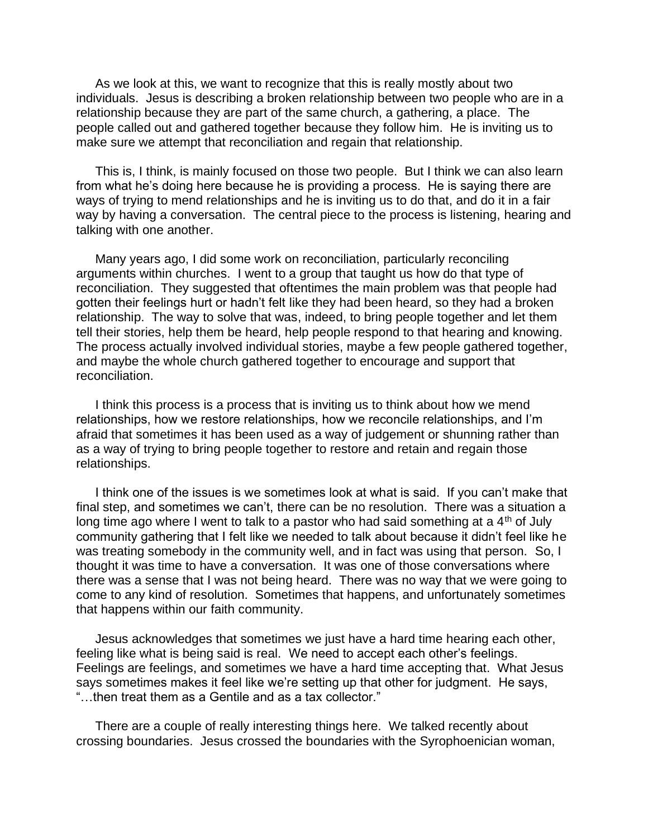As we look at this, we want to recognize that this is really mostly about two individuals. Jesus is describing a broken relationship between two people who are in a relationship because they are part of the same church, a gathering, a place. The people called out and gathered together because they follow him. He is inviting us to make sure we attempt that reconciliation and regain that relationship.

This is, I think, is mainly focused on those two people. But I think we can also learn from what he's doing here because he is providing a process. He is saying there are ways of trying to mend relationships and he is inviting us to do that, and do it in a fair way by having a conversation. The central piece to the process is listening, hearing and talking with one another.

Many years ago, I did some work on reconciliation, particularly reconciling arguments within churches. I went to a group that taught us how do that type of reconciliation. They suggested that oftentimes the main problem was that people had gotten their feelings hurt or hadn't felt like they had been heard, so they had a broken relationship. The way to solve that was, indeed, to bring people together and let them tell their stories, help them be heard, help people respond to that hearing and knowing. The process actually involved individual stories, maybe a few people gathered together, and maybe the whole church gathered together to encourage and support that reconciliation.

I think this process is a process that is inviting us to think about how we mend relationships, how we restore relationships, how we reconcile relationships, and I'm afraid that sometimes it has been used as a way of judgement or shunning rather than as a way of trying to bring people together to restore and retain and regain those relationships.

I think one of the issues is we sometimes look at what is said. If you can't make that final step, and sometimes we can't, there can be no resolution. There was a situation a long time ago where I went to talk to a pastor who had said something at a  $4<sup>th</sup>$  of July community gathering that I felt like we needed to talk about because it didn't feel like he was treating somebody in the community well, and in fact was using that person. So, I thought it was time to have a conversation. It was one of those conversations where there was a sense that I was not being heard. There was no way that we were going to come to any kind of resolution. Sometimes that happens, and unfortunately sometimes that happens within our faith community.

Jesus acknowledges that sometimes we just have a hard time hearing each other, feeling like what is being said is real. We need to accept each other's feelings. Feelings are feelings, and sometimes we have a hard time accepting that. What Jesus says sometimes makes it feel like we're setting up that other for judgment. He says, "…then treat them as a Gentile and as a tax collector."

There are a couple of really interesting things here. We talked recently about crossing boundaries. Jesus crossed the boundaries with the Syrophoenician woman,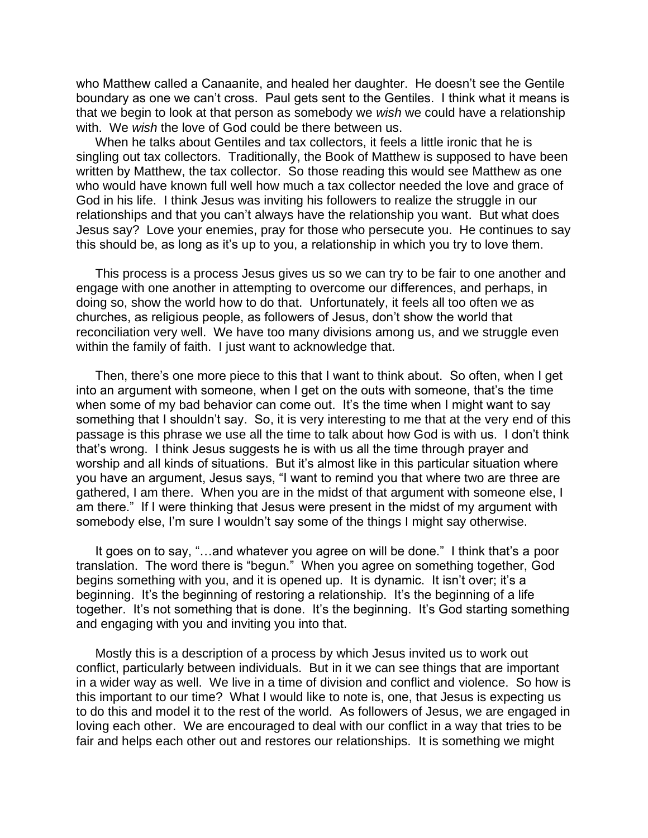who Matthew called a Canaanite, and healed her daughter. He doesn't see the Gentile boundary as one we can't cross. Paul gets sent to the Gentiles. I think what it means is that we begin to look at that person as somebody we *wish* we could have a relationship with. We *wish* the love of God could be there between us.

When he talks about Gentiles and tax collectors, it feels a little ironic that he is singling out tax collectors. Traditionally, the Book of Matthew is supposed to have been written by Matthew, the tax collector. So those reading this would see Matthew as one who would have known full well how much a tax collector needed the love and grace of God in his life. I think Jesus was inviting his followers to realize the struggle in our relationships and that you can't always have the relationship you want. But what does Jesus say? Love your enemies, pray for those who persecute you. He continues to say this should be, as long as it's up to you, a relationship in which you try to love them.

This process is a process Jesus gives us so we can try to be fair to one another and engage with one another in attempting to overcome our differences, and perhaps, in doing so, show the world how to do that. Unfortunately, it feels all too often we as churches, as religious people, as followers of Jesus, don't show the world that reconciliation very well. We have too many divisions among us, and we struggle even within the family of faith. I just want to acknowledge that.

Then, there's one more piece to this that I want to think about. So often, when I get into an argument with someone, when I get on the outs with someone, that's the time when some of my bad behavior can come out. It's the time when I might want to say something that I shouldn't say. So, it is very interesting to me that at the very end of this passage is this phrase we use all the time to talk about how God is with us. I don't think that's wrong. I think Jesus suggests he is with us all the time through prayer and worship and all kinds of situations. But it's almost like in this particular situation where you have an argument, Jesus says, "I want to remind you that where two are three are gathered, I am there. When you are in the midst of that argument with someone else, I am there." If I were thinking that Jesus were present in the midst of my argument with somebody else, I'm sure I wouldn't say some of the things I might say otherwise.

It goes on to say, "…and whatever you agree on will be done." I think that's a poor translation. The word there is "begun." When you agree on something together, God begins something with you, and it is opened up. It is dynamic. It isn't over; it's a beginning. It's the beginning of restoring a relationship. It's the beginning of a life together. It's not something that is done. It's the beginning. It's God starting something and engaging with you and inviting you into that.

Mostly this is a description of a process by which Jesus invited us to work out conflict, particularly between individuals. But in it we can see things that are important in a wider way as well. We live in a time of division and conflict and violence. So how is this important to our time? What I would like to note is, one, that Jesus is expecting us to do this and model it to the rest of the world. As followers of Jesus, we are engaged in loving each other. We are encouraged to deal with our conflict in a way that tries to be fair and helps each other out and restores our relationships. It is something we might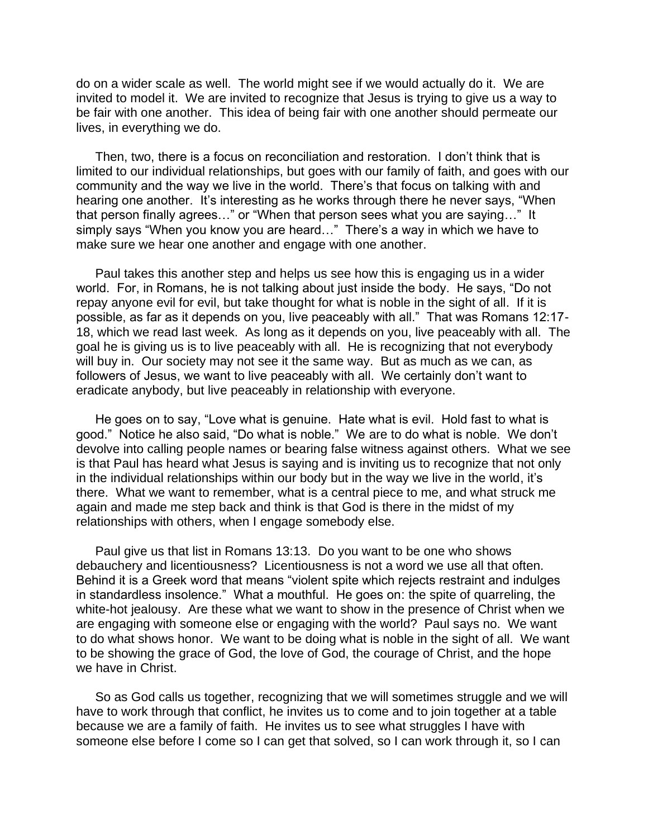do on a wider scale as well. The world might see if we would actually do it. We are invited to model it. We are invited to recognize that Jesus is trying to give us a way to be fair with one another. This idea of being fair with one another should permeate our lives, in everything we do.

Then, two, there is a focus on reconciliation and restoration. I don't think that is limited to our individual relationships, but goes with our family of faith, and goes with our community and the way we live in the world. There's that focus on talking with and hearing one another. It's interesting as he works through there he never says, "When that person finally agrees…" or "When that person sees what you are saying…" It simply says "When you know you are heard..." There's a way in which we have to make sure we hear one another and engage with one another.

Paul takes this another step and helps us see how this is engaging us in a wider world. For, in Romans, he is not talking about just inside the body. He says, "Do not repay anyone evil for evil, but take thought for what is noble in the sight of all. If it is possible, as far as it depends on you, live peaceably with all." That was Romans 12:17- 18, which we read last week. As long as it depends on you, live peaceably with all. The goal he is giving us is to live peaceably with all. He is recognizing that not everybody will buy in. Our society may not see it the same way. But as much as we can, as followers of Jesus, we want to live peaceably with all. We certainly don't want to eradicate anybody, but live peaceably in relationship with everyone.

He goes on to say, "Love what is genuine. Hate what is evil. Hold fast to what is good." Notice he also said, "Do what is noble." We are to do what is noble. We don't devolve into calling people names or bearing false witness against others. What we see is that Paul has heard what Jesus is saying and is inviting us to recognize that not only in the individual relationships within our body but in the way we live in the world, it's there. What we want to remember, what is a central piece to me, and what struck me again and made me step back and think is that God is there in the midst of my relationships with others, when I engage somebody else.

Paul give us that list in Romans 13:13. Do you want to be one who shows debauchery and licentiousness? Licentiousness is not a word we use all that often. Behind it is a Greek word that means "violent spite which rejects restraint and indulges in standardless insolence." What a mouthful. He goes on: the spite of quarreling, the white-hot jealousy. Are these what we want to show in the presence of Christ when we are engaging with someone else or engaging with the world? Paul says no. We want to do what shows honor. We want to be doing what is noble in the sight of all. We want to be showing the grace of God, the love of God, the courage of Christ, and the hope we have in Christ.

So as God calls us together, recognizing that we will sometimes struggle and we will have to work through that conflict, he invites us to come and to join together at a table because we are a family of faith. He invites us to see what struggles I have with someone else before I come so I can get that solved, so I can work through it, so I can